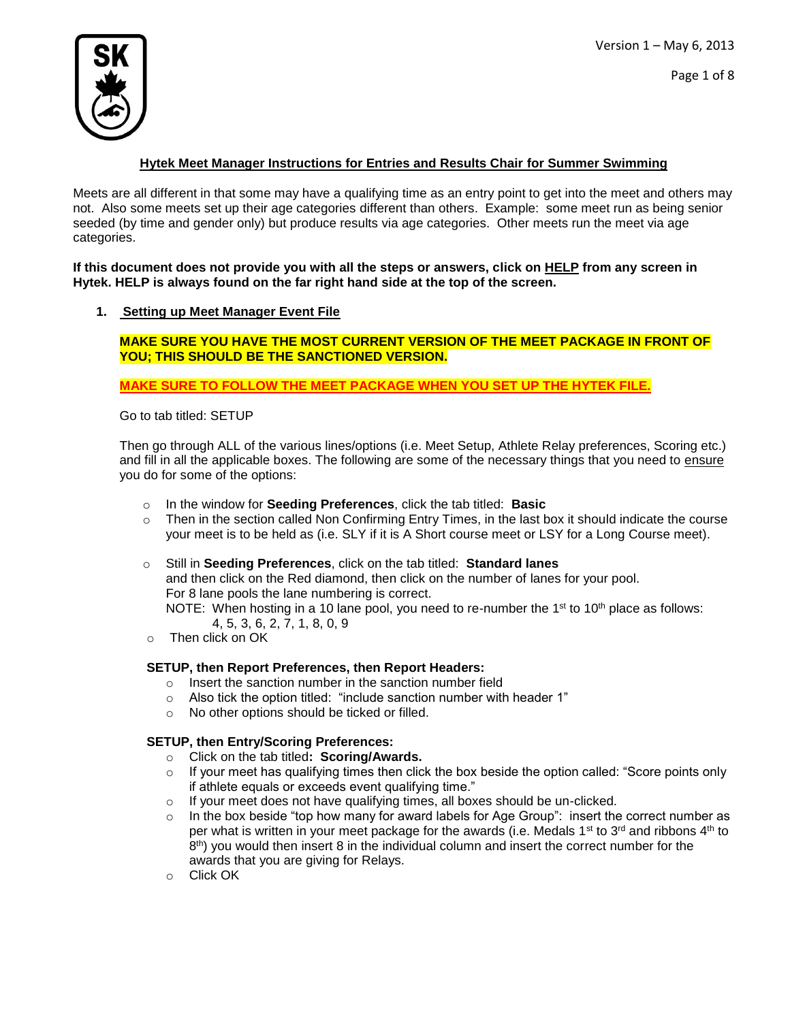

Page 1 of 8

### **Hytek Meet Manager Instructions for Entries and Results Chair for Summer Swimming**

Meets are all different in that some may have a qualifying time as an entry point to get into the meet and others may not. Also some meets set up their age categories different than others. Example: some meet run as being senior seeded (by time and gender only) but produce results via age categories. Other meets run the meet via age categories.

**If this document does not provide you with all the steps or answers, click on HELP from any screen in Hytek. HELP is always found on the far right hand side at the top of the screen.**

### **1. Setting up Meet Manager Event File**

**MAKE SURE YOU HAVE THE MOST CURRENT VERSION OF THE MEET PACKAGE IN FRONT OF YOU; THIS SHOULD BE THE SANCTIONED VERSION.** 

**MAKE SURE TO FOLLOW THE MEET PACKAGE WHEN YOU SET UP THE HYTEK FILE.**

Go to tab titled: SETUP

Then go through ALL of the various lines/options (i.e. Meet Setup, Athlete Relay preferences, Scoring etc.) and fill in all the applicable boxes. The following are some of the necessary things that you need to ensure you do for some of the options:

- o In the window for **Seeding Preferences**, click the tab titled: **Basic**
- $\circ$  Then in the section called Non Confirming Entry Times, in the last box it should indicate the course your meet is to be held as (i.e. SLY if it is A Short course meet or LSY for a Long Course meet).
- o Still in **Seeding Preferences**, click on the tab titled: **Standard lanes** and then click on the Red diamond, then click on the number of lanes for your pool. For 8 lane pools the lane numbering is correct.

NOTE: When hosting in a 10 lane pool, you need to re-number the 1<sup>st</sup> to 10<sup>th</sup> place as follows: 4, 5, 3, 6, 2, 7, 1, 8, 0, 9

o Then click on OK

### **SETUP, then Report Preferences, then Report Headers:**

- o Insert the sanction number in the sanction number field
- o Also tick the option titled: "include sanction number with header 1"
- o No other options should be ticked or filled.

### **SETUP, then Entry/Scoring Preferences:**

- o Click on the tab titled**: Scoring/Awards.**
- $\circ$  If your meet has qualifying times then click the box beside the option called: "Score points only if athlete equals or exceeds event qualifying time."
- o If your meet does not have qualifying times, all boxes should be un-clicked.
- $\circ$  In the box beside "top how many for award labels for Age Group": insert the correct number as per what is written in your meet package for the awards (i.e. Medals 1<sup>st</sup> to 3<sup>rd</sup> and ribbons 4<sup>th</sup> to  $8<sup>th</sup>$ ) you would then insert 8 in the individual column and insert the correct number for the awards that you are giving for Relays.
- o Click OK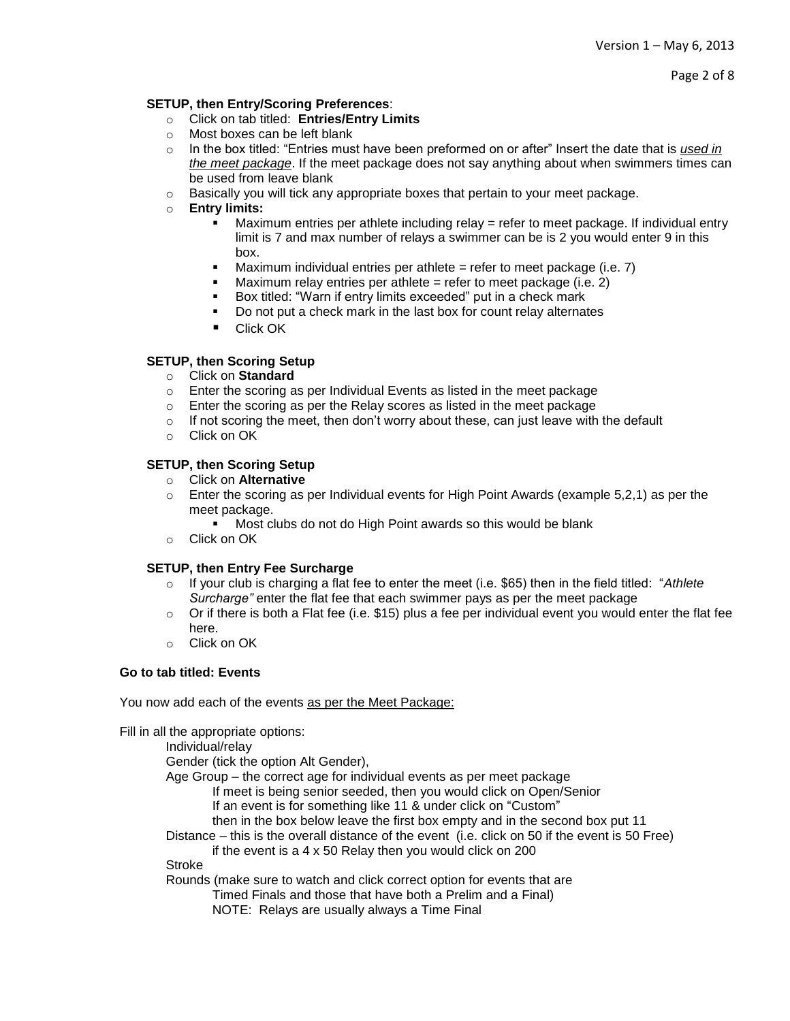Page 2 of 8

#### **SETUP, then Entry/Scoring Preferences**:

- o Click on tab titled: **Entries/Entry Limits**
- o Most boxes can be left blank
- o In the box titled: "Entries must have been preformed on or after" Insert the date that is *used in the meet package*. If the meet package does not say anything about when swimmers times can be used from leave blank
- $\circ$  Basically you will tick any appropriate boxes that pertain to your meet package.
- o **Entry limits:**
	- Maximum entries per athlete including relay = refer to meet package. If individual entry limit is 7 and max number of relays a swimmer can be is 2 you would enter 9 in this box.
	- Maximum individual entries per athlete  $=$  refer to meet package (i.e. 7)
	- $\blacksquare$  Maximum relay entries per athlete = refer to meet package (i.e. 2)
	- **Box titled: "Warn if entry limits exceeded" put in a check mark**
	- Do not put a check mark in the last box for count relay alternates
	- Click OK

#### **SETUP, then Scoring Setup**

- o Click on **Standard**
- o Enter the scoring as per Individual Events as listed in the meet package
- o Enter the scoring as per the Relay scores as listed in the meet package
- $\circ$  If not scoring the meet, then don't worry about these, can just leave with the default
- o Click on OK

### **SETUP, then Scoring Setup**

- o Click on **Alternative**
- $\circ$  Enter the scoring as per Individual events for High Point Awards (example 5,2,1) as per the meet package.
	- **Most clubs do not do High Point awards so this would be blank**
- o Click on OK

### **SETUP, then Entry Fee Surcharge**

- o If your club is charging a flat fee to enter the meet (i.e. \$65) then in the field titled: "*Athlete Surcharge"* enter the flat fee that each swimmer pays as per the meet package
- $\circ$  Or if there is both a Flat fee (i.e. \$15) plus a fee per individual event you would enter the flat fee here.
- o Click on OK

#### **Go to tab titled: Events**

You now add each of the events as per the Meet Package:

Fill in all the appropriate options:

Individual/relay Gender (tick the option Alt Gender), Age Group – the correct age for individual events as per meet package If meet is being senior seeded, then you would click on Open/Senior If an event is for something like 11 & under click on "Custom" then in the box below leave the first box empty and in the second box put 11 Distance – this is the overall distance of the event (i.e. click on 50 if the event is 50 Free) if the event is a 4 x 50 Relay then you would click on 200 Stroke Rounds (make sure to watch and click correct option for events that are Timed Finals and those that have both a Prelim and a Final) NOTE: Relays are usually always a Time Final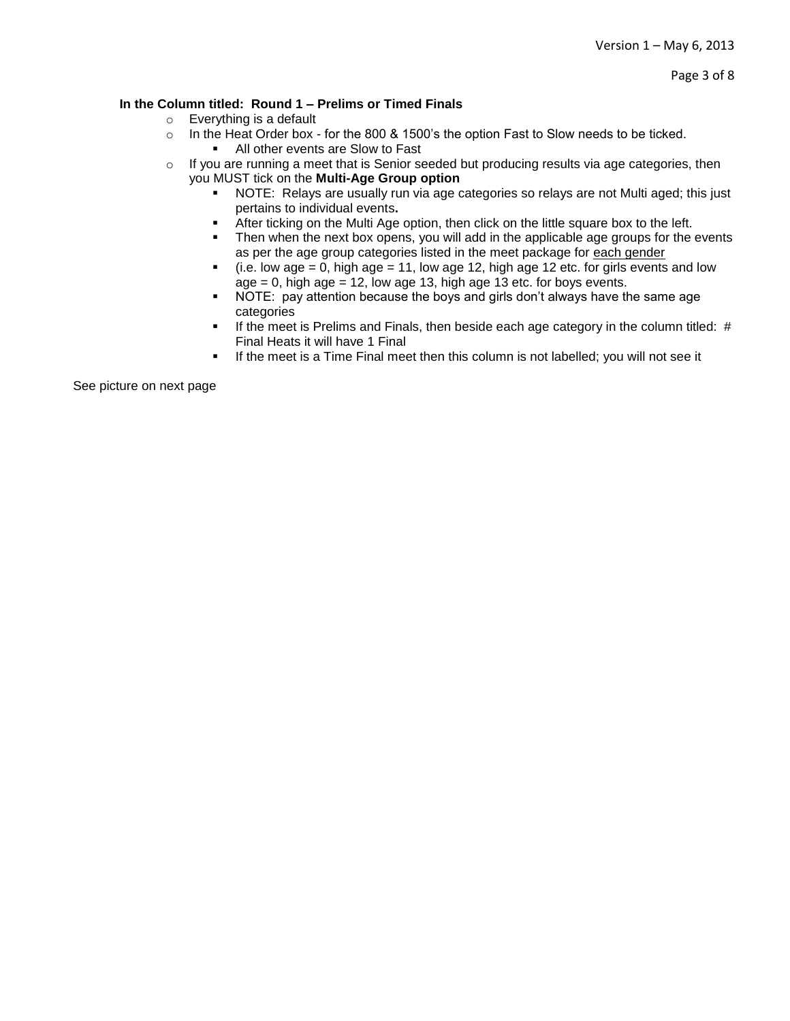#### **In the Column titled: Round 1 – Prelims or Timed Finals**

- o Everything is a default
- $\circ$  In the Heat Order box for the 800 & 1500's the option Fast to Slow needs to be ticked.
	- All other events are Slow to Fast
- o If you are running a meet that is Senior seeded but producing results via age categories, then you MUST tick on the **Multi-Age Group option**
	- NOTE: Relays are usually run via age categories so relays are not Multi aged; this just pertains to individual events**.**
	- After ticking on the Multi Age option, then click on the little square box to the left.
	- Then when the next box opens, you will add in the applicable age groups for the events as per the age group categories listed in the meet package for each gender
	- $(i.e. low age = 0, high age = 11, low age 12, high age 12 etc. for girls events and low$  $age = 0$ , high age  $= 12$ , low age 13, high age 13 etc. for boys events.
	- NOTE: pay attention because the boys and girls don't always have the same age categories
	- If the meet is Prelims and Finals, then beside each age category in the column titled: # Final Heats it will have 1 Final
	- **If the meet is a Time Final meet then this column is not labelled; you will not see it**

See picture on next page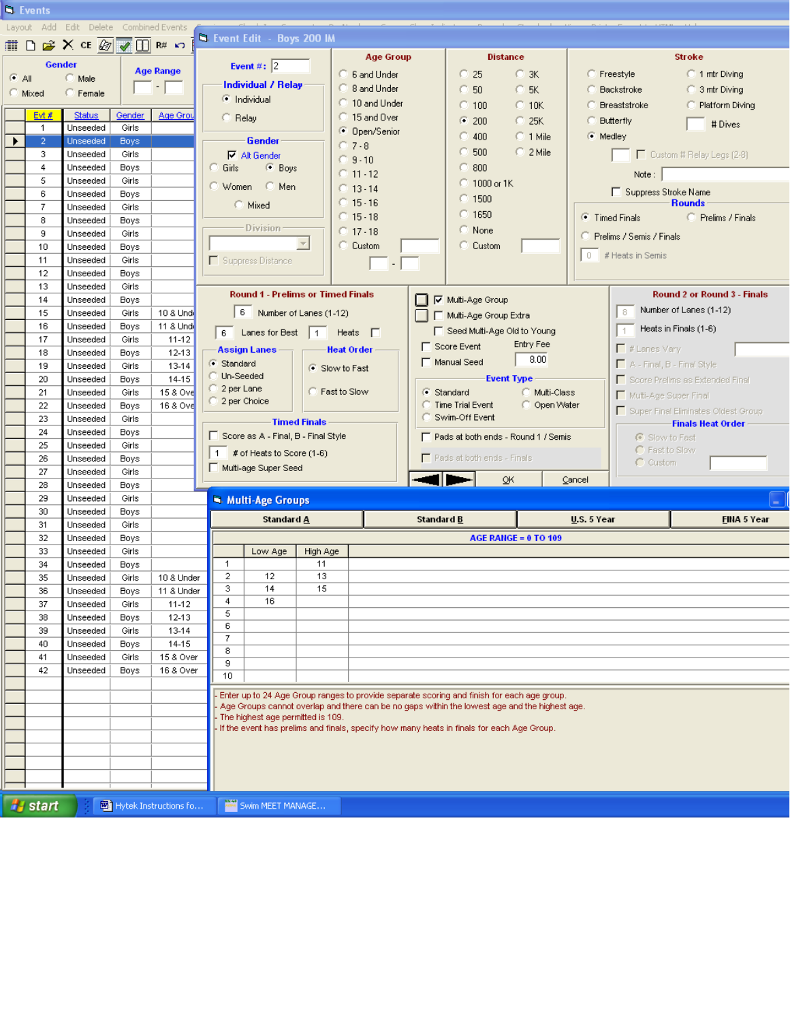|               | <b>N</b> . Events |                                                                                                                                  |                      |                       |                                          |                                                                                           |                     |                                                                                                                                                                                             |                     |                               |                             |                            |                            |                                     |  |
|---------------|-------------------|----------------------------------------------------------------------------------------------------------------------------------|----------------------|-----------------------|------------------------------------------|-------------------------------------------------------------------------------------------|---------------------|---------------------------------------------------------------------------------------------------------------------------------------------------------------------------------------------|---------------------|-------------------------------|-----------------------------|----------------------------|----------------------------|-------------------------------------|--|
|               |                   | Layout Add Edit Delete Combined Events                                                                                           |                      |                       |                                          |                                                                                           |                     |                                                                                                                                                                                             |                     |                               |                             |                            |                            |                                     |  |
| 肅             | $\Box$            | $\mathbb{R}$ X CE $\overline{\mathbb{Q}}$ $\overline{\mathbb{Q}}$ $\overline{\mathbb{Q}}$ $\mathbb{R}$ $\mathbb{R}$ $\mathbb{R}$ |                      |                       |                                          | <b>B.</b> Event Edit - Boys 200 IM                                                        |                     |                                                                                                                                                                                             |                     |                               |                             |                            |                            |                                     |  |
|               |                   |                                                                                                                                  |                      |                       |                                          |                                                                                           |                     | <b>Age Group</b>                                                                                                                                                                            |                     | <b>Distance</b>               |                             |                            |                            | <b>Stroke</b>                       |  |
|               | Gender            |                                                                                                                                  |                      | <b>Age Range</b>      |                                          | Event#: $\sqrt{2}$                                                                        |                     |                                                                                                                                                                                             |                     |                               |                             |                            |                            |                                     |  |
| $\bullet$ All |                   | C Male                                                                                                                           | $\sim$ $\sim$ $\sim$ |                       | <b>Individual / Relay</b>                |                                                                                           |                     | 6 6 and Under                                                                                                                                                                               |                     | $\degree$ 25                  | $C$ 3K                      |                            | <b>C</b> Freestyle         | C 1 mtr Diving                      |  |
| <b>Mixed</b>  |                   | Female                                                                                                                           |                      |                       |                                          | i Individual                                                                              |                     | C 8 and Under                                                                                                                                                                               |                     | 50                            | $C$ 5K                      |                            | <b>C</b> Backstroke        | 3 mtr Diving                        |  |
|               |                   |                                                                                                                                  |                      |                       |                                          |                                                                                           |                     | $\heartsuit$ 10 and Under                                                                                                                                                                   |                     | $C$ 100                       | $C$ 10K                     |                            | <b>Breaststroke</b>        | Platform Diving<br>o                |  |
|               | Evt #             | Status                                                                                                                           | Gender               | Age Grou              | C Relay                                  |                                                                                           |                     | 15 and Over                                                                                                                                                                                 |                     | $\bullet$ 200                 | $C$ 25K                     | <b>Butterfly</b>           |                            | # Dives                             |  |
|               | 1                 | Unseeded                                                                                                                         | Girls                |                       |                                          |                                                                                           |                     | <b>C</b> Open/Senior                                                                                                                                                                        |                     | $\degree$ 400                 | $C$ 1 Mile                  | (C Medley                  |                            |                                     |  |
|               | $\overline{2}$    | Unseeded                                                                                                                         | <b>Boys</b>          |                       |                                          | <b>Gender</b>                                                                             |                     | $O$ 7 - 8                                                                                                                                                                                   |                     | 500                           | $C$ 2 Mile                  |                            |                            |                                     |  |
|               | з.                | Unseeded                                                                                                                         | Girls                |                       |                                          | $\nabla$ Alt Gender                                                                       |                     | $O.9 - 10$                                                                                                                                                                                  |                     |                               |                             |                            |                            | Custom # Relay Legs (2-8)           |  |
|               | 4                 | Unseeded                                                                                                                         | <b>Boys</b>          |                       | Girls                                    | <b>Boys</b>                                                                               |                     | $@11-12$                                                                                                                                                                                    |                     | $\degree$ 800                 |                             |                            | Note:                      |                                     |  |
|               | 5                 | Unseeded                                                                                                                         | Girls                |                       |                                          | ○ Women<br>◯ Men                                                                          |                     | $@13-14$                                                                                                                                                                                    |                     | $\degree$ 1000 or 1K          |                             | Suppress Stroke Name       |                            |                                     |  |
|               | 6<br>$\mathbf{7}$ | Unseeded                                                                                                                         | <b>Boys</b>          |                       |                                          | C Mixed                                                                                   |                     | $15 - 16$                                                                                                                                                                                   |                     | $\degree$ 1500                |                             |                            |                            | <b>Rounds</b>                       |  |
|               | 8                 | Unseeded                                                                                                                         | Girls                |                       |                                          |                                                                                           |                     | $15 - 18$                                                                                                                                                                                   |                     | $\degree$ 1650                |                             |                            | ● Timed Finals             | Prelims / Finals                    |  |
|               | 9                 | Unseeded<br>Unseeded                                                                                                             | <b>Boys</b><br>Girls |                       |                                          | <b>Division</b>                                                                           |                     | @17.18                                                                                                                                                                                      |                     | C None                        |                             |                            |                            |                                     |  |
|               | 10                | Unseeded                                                                                                                         |                      |                       |                                          |                                                                                           | $\overline{\nabla}$ | C Custom                                                                                                                                                                                    |                     | C Custom                      |                             |                            | C Prelims / Semis / Finals |                                     |  |
|               | 11                | Unseeded                                                                                                                         | <b>Boys</b><br>Girls |                       |                                          | Suppress Distance                                                                         |                     |                                                                                                                                                                                             |                     |                               |                             |                            | 0 # Heats in Semis         |                                     |  |
|               | 12                | Unseeded                                                                                                                         | <b>Boys</b>          |                       |                                          |                                                                                           |                     | $\overline{\phantom{a}}$                                                                                                                                                                    |                     |                               |                             |                            |                            |                                     |  |
|               | 13                |                                                                                                                                  |                      |                       |                                          |                                                                                           |                     |                                                                                                                                                                                             |                     |                               |                             |                            |                            |                                     |  |
|               | 14                | Unseeded<br>Girls<br>Unseeded<br><b>Boys</b>                                                                                     |                      |                       | <b>Round 1 - Prelims or Timed Finals</b> |                                                                                           |                     |                                                                                                                                                                                             | □ ▽ Multi-Age Group |                               |                             |                            |                            | <b>Round 2 or Round 3 - Finals</b>  |  |
|               | 15                | Unseeded                                                                                                                         | Girls                | 10 & Und              |                                          | 6 Number of Lanes (1-12)                                                                  |                     |                                                                                                                                                                                             |                     |                               |                             |                            | 8.                         | Number of Lanes (1-12)              |  |
|               | 16                | Unseeded                                                                                                                         | <b>Boys</b>          | 11 & Und              |                                          |                                                                                           |                     |                                                                                                                                                                                             |                     | Multi-Age Group Extra         |                             |                            |                            |                                     |  |
|               | 17                | Unseeded                                                                                                                         | Girls                | $11 - 12$             |                                          | 6 Lanes for Best                                                                          | $\overline{1}$      | Heats $\Box$                                                                                                                                                                                |                     | □ Seed Multi-Age Old to Young |                             |                            |                            | Heats in Finals (1-6)               |  |
|               | 18                | Unseeded                                                                                                                         | <b>Boys</b>          | 12-13                 |                                          | <b>Assign Lanes</b>                                                                       |                     | <b>Heat Order</b>                                                                                                                                                                           |                     | $\Gamma$ Score Event          | Entry Fee                   |                            | $\Box$ # Lanes Vary        |                                     |  |
|               | 19                | C Standard<br>Unseeded<br>13-14<br>Girls                                                                                         |                      |                       | Slow to Fast                             |                                                                                           |                     | 8.00<br>Manual Seed                                                                                                                                                                         |                     |                               |                             | A - Final, B - Final Style |                            |                                     |  |
|               | 20                | Unseeded                                                                                                                         | <b>Boys</b>          | 14-15                 | Un-Seeded                                |                                                                                           |                     |                                                                                                                                                                                             |                     |                               | <b>Event Type</b>           |                            |                            | Score Prelims as Extended Final     |  |
|               | 21                | Unseeded                                                                                                                         | Girls                | 15 & Ovel             | ◯ 2 per Lane                             |                                                                                           | C Fast to Slow      |                                                                                                                                                                                             | C Standard          |                               | Multi-Class                 |                            |                            |                                     |  |
|               | 22                | Unseeded                                                                                                                         | Boys                 | 16 & Ove              | 2 per Choice                             |                                                                                           |                     |                                                                                                                                                                                             |                     | Time Trial Event              | C Open Water                |                            | Multi-Age Super Final      |                                     |  |
|               | 23                | Unseeded                                                                                                                         | Girls                |                       |                                          |                                                                                           |                     |                                                                                                                                                                                             |                     | Swim-Off Event                |                             |                            |                            | Super Final Eliminates Oldest Group |  |
|               | 24                | Unseeded<br><b>Boys</b>                                                                                                          |                      |                       | <b>Timed Finals</b>                      |                                                                                           |                     |                                                                                                                                                                                             |                     |                               |                             |                            | <b>Finals Heat Order</b>   |                                     |  |
|               | 25                | Unseeded                                                                                                                         | Girls                |                       | □ Score as A - Final, B - Final Style    |                                                                                           |                     | □ Pads at both ends - Round 1 / Semis                                                                                                                                                       |                     |                               |                             |                            | G Slow to Fast             |                                     |  |
|               | 26                | Unseeded                                                                                                                         | <b>Boys</b>          |                       | $\overline{1}$                           | # of Heats to Score (1-6)                                                                 |                     | $\Box$ Pads at both ends - Finals                                                                                                                                                           |                     |                               |                             |                            | C Fast to Slow             |                                     |  |
|               | 27                | Unseeded                                                                                                                         | Girls                |                       |                                          | Multi-age Super Seed                                                                      |                     |                                                                                                                                                                                             |                     |                               |                             | $\cap$ Custom              |                            |                                     |  |
|               | 28                | Unseeded                                                                                                                         | <b>Boys</b>          |                       |                                          |                                                                                           |                     |                                                                                                                                                                                             |                     |                               | OK                          | Cancel                     |                            |                                     |  |
|               | 29                | Unseeded                                                                                                                         | Girls                |                       |                                          | Multi-Age Groups                                                                          |                     |                                                                                                                                                                                             |                     |                               |                             |                            |                            |                                     |  |
|               | 30                | Unseeded                                                                                                                         | <b>Boys</b>          |                       |                                          |                                                                                           |                     |                                                                                                                                                                                             |                     |                               |                             |                            |                            |                                     |  |
|               | 31                | Unseeded                                                                                                                         | Girls                |                       |                                          | Standard A                                                                                |                     |                                                                                                                                                                                             | Standard B          |                               |                             | U.S. 5 Year                |                            | FINA 5 Year                         |  |
|               | 32                | Unseeded                                                                                                                         | Boys                 |                       |                                          |                                                                                           |                     |                                                                                                                                                                                             |                     |                               | <b>AGE RANGE = 0 TO 109</b> |                            |                            |                                     |  |
|               | 33                | Unseeded                                                                                                                         | Girls                |                       |                                          | Low Age                                                                                   | High Age            |                                                                                                                                                                                             |                     |                               |                             |                            |                            |                                     |  |
|               | 34                | Unseeded                                                                                                                         | <b>Boys</b>          |                       | 1                                        |                                                                                           | 11                  |                                                                                                                                                                                             |                     |                               |                             |                            |                            |                                     |  |
|               | 35                | Unseeded                                                                                                                         | Girls                | 10 & Under            | 2                                        | 12                                                                                        | 13                  |                                                                                                                                                                                             |                     |                               |                             |                            |                            |                                     |  |
|               | 36                | Unseeded                                                                                                                         | <b>Boys</b>          | 11 & Under            | 3                                        | 14                                                                                        | 15                  |                                                                                                                                                                                             |                     |                               |                             |                            |                            |                                     |  |
|               | 37                | Unseeded                                                                                                                         | Girls                | $11 - 12$             | 4<br>5                                   | 16                                                                                        |                     |                                                                                                                                                                                             |                     |                               |                             |                            |                            |                                     |  |
|               | 38                | Unseeded                                                                                                                         | Boys                 | 12-13                 | 6                                        |                                                                                           |                     |                                                                                                                                                                                             |                     |                               |                             |                            |                            |                                     |  |
|               | 39                | Unseeded                                                                                                                         | Girls                | 13-14                 | 7                                        |                                                                                           |                     |                                                                                                                                                                                             |                     |                               |                             |                            |                            |                                     |  |
|               | 40                | Unseeded                                                                                                                         | <b>Boys</b>          | 14-15                 | 8                                        |                                                                                           |                     |                                                                                                                                                                                             |                     |                               |                             |                            |                            |                                     |  |
|               | 41                | Unseeded                                                                                                                         | Girls                | 15 & Over             | 9                                        |                                                                                           |                     |                                                                                                                                                                                             |                     |                               |                             |                            |                            |                                     |  |
|               | 42                | Unseeded                                                                                                                         | <b>Boys</b>          | 16 & Over             | 10                                       |                                                                                           |                     |                                                                                                                                                                                             |                     |                               |                             |                            |                            |                                     |  |
|               |                   |                                                                                                                                  |                      |                       |                                          |                                                                                           |                     |                                                                                                                                                                                             |                     |                               |                             |                            |                            |                                     |  |
|               |                   |                                                                                                                                  |                      |                       |                                          |                                                                                           |                     | Enter up to 24 Age Group ranges to provide separate scoring and finish for each age group.<br>Age Groups cannot overlap and there can be no gaps within the lowest age and the highest age. |                     |                               |                             |                            |                            |                                     |  |
|               |                   |                                                                                                                                  |                      |                       |                                          | The highest age permitted is 109.                                                         |                     |                                                                                                                                                                                             |                     |                               |                             |                            |                            |                                     |  |
|               |                   |                                                                                                                                  |                      |                       |                                          | If the event has prelims and finals, specify how many heats in finals for each Age Group. |                     |                                                                                                                                                                                             |                     |                               |                             |                            |                            |                                     |  |
|               |                   |                                                                                                                                  |                      |                       |                                          |                                                                                           |                     |                                                                                                                                                                                             |                     |                               |                             |                            |                            |                                     |  |
|               |                   |                                                                                                                                  |                      |                       |                                          |                                                                                           |                     |                                                                                                                                                                                             |                     |                               |                             |                            |                            |                                     |  |
|               |                   |                                                                                                                                  |                      |                       |                                          |                                                                                           |                     |                                                                                                                                                                                             |                     |                               |                             |                            |                            |                                     |  |
|               |                   |                                                                                                                                  |                      |                       |                                          |                                                                                           |                     |                                                                                                                                                                                             |                     |                               |                             |                            |                            |                                     |  |
|               |                   |                                                                                                                                  |                      |                       |                                          | Swim MEET MANAGE                                                                          |                     |                                                                                                                                                                                             |                     |                               |                             |                            |                            |                                     |  |
|               | <b>H</b> start    |                                                                                                                                  |                      | Hytek Instructions fo |                                          |                                                                                           |                     |                                                                                                                                                                                             |                     |                               |                             |                            |                            |                                     |  |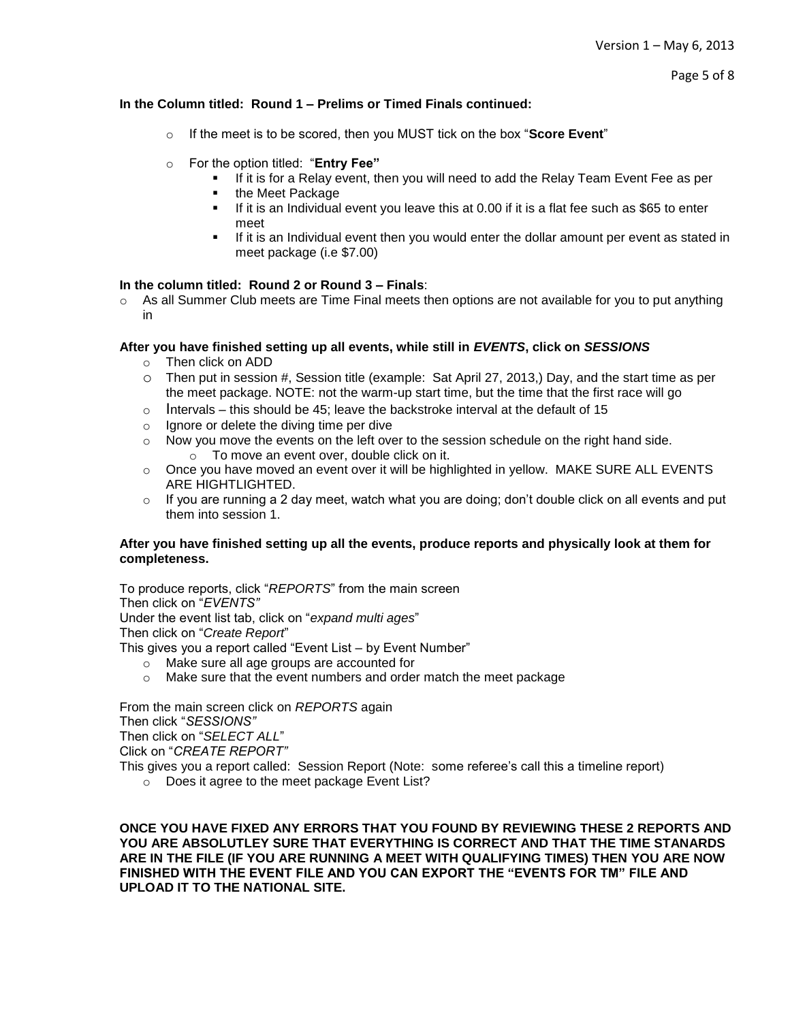# **In the Column titled: Round 1 – Prelims or Timed Finals continued:**

- o If the meet is to be scored, then you MUST tick on the box "**Score Event**"
- o For the option titled: "**Entry Fee"**
	- If it is for a Relay event, then you will need to add the Relay Team Event Fee as per
	- **•** the Meet Package
	- $\blacksquare$  If it is an Individual event you leave this at 0.00 if it is a flat fee such as \$65 to enter meet
	- **If it is an Individual event then you would enter the dollar amount per event as stated in** meet package (i.e \$7.00)

# **In the column titled: Round 2 or Round 3 – Finals**:

 $\circ$  As all Summer Club meets are Time Final meets then options are not available for you to put anything in

# **After you have finished setting up all events, while still in** *EVENTS***, click on** *SESSIONS*

- o Then click on ADD
- o Then put in session #, Session title (example: Sat April 27, 2013,) Day, and the start time as per the meet package. NOTE: not the warm-up start time, but the time that the first race will go
- $\circ$  Intervals this should be 45; leave the backstroke interval at the default of 15
- o Ignore or delete the diving time per dive
- o Now you move the events on the left over to the session schedule on the right hand side. o To move an event over, double click on it.
- $\circ$  Once you have moved an event over it will be highlighted in yellow. MAKE SURE ALL EVENTS ARE HIGHTLIGHTED.
- $\circ$  If you are running a 2 day meet, watch what you are doing; don't double click on all events and put them into session 1.

### **After you have finished setting up all the events, produce reports and physically look at them for completeness.**

To produce reports, click "*REPORTS*" from the main screen Then click on "*EVENTS"* Under the event list tab, click on "*expand multi ages*" Then click on "*Create Report*"

This gives you a report called "Event List – by Event Number"

- o Make sure all age groups are accounted for
- $\circ$  Make sure that the event numbers and order match the meet package

From the main screen click on *REPORTS* again Then click "*SESSIONS"* Then click on "*SELECT ALL*" Click on "*CREATE REPORT"*

- This gives you a report called: Session Report (Note: some referee's call this a timeline report)
	- o Does it agree to the meet package Event List?

**ONCE YOU HAVE FIXED ANY ERRORS THAT YOU FOUND BY REVIEWING THESE 2 REPORTS AND YOU ARE ABSOLUTLEY SURE THAT EVERYTHING IS CORRECT AND THAT THE TIME STANARDS ARE IN THE FILE (IF YOU ARE RUNNING A MEET WITH QUALIFYING TIMES) THEN YOU ARE NOW FINISHED WITH THE EVENT FILE AND YOU CAN EXPORT THE "EVENTS FOR TM" FILE AND UPLOAD IT TO THE NATIONAL SITE.**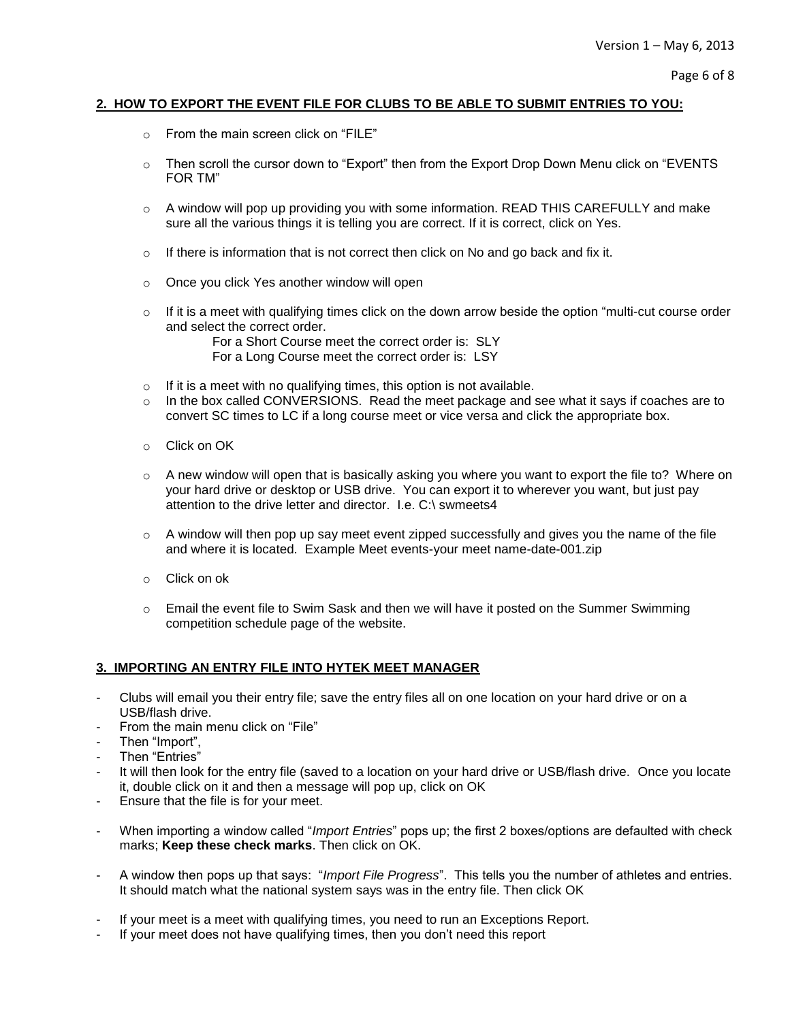# **2. HOW TO EXPORT THE EVENT FILE FOR CLUBS TO BE ABLE TO SUBMIT ENTRIES TO YOU:**

- o From the main screen click on "FILE"
- o Then scroll the cursor down to "Export" then from the Export Drop Down Menu click on "EVENTS FOR TM"
- $\circ$  A window will pop up providing you with some information. READ THIS CAREFULLY and make sure all the various things it is telling you are correct. If it is correct, click on Yes.
- $\circ$  If there is information that is not correct then click on No and go back and fix it.
- o Once you click Yes another window will open
- $\circ$  If it is a meet with qualifying times click on the down arrow beside the option "multi-cut course order and select the correct order.

For a Short Course meet the correct order is: SLY For a Long Course meet the correct order is: LSY

- $\circ$  If it is a meet with no qualifying times, this option is not available.
- $\circ$  In the box called CONVERSIONS. Read the meet package and see what it says if coaches are to convert SC times to LC if a long course meet or vice versa and click the appropriate box.
- o Click on OK
- $\circ$  A new window will open that is basically asking you where you want to export the file to? Where on your hard drive or desktop or USB drive. You can export it to wherever you want, but just pay attention to the drive letter and director. I.e. C:\ swmeets4
- $\circ$  A window will then pop up say meet event zipped successfully and gives you the name of the file and where it is located. Example Meet events-your meet name-date-001.zip
- o Click on ok
- $\circ$  Email the event file to Swim Sask and then we will have it posted on the Summer Swimming competition schedule page of the website.

### **3. IMPORTING AN ENTRY FILE INTO HYTEK MEET MANAGER**

- Clubs will email you their entry file; save the entry files all on one location on your hard drive or on a USB/flash drive.
- From the main menu click on "File"
- Then "Import",
- Then "Entries"
- It will then look for the entry file (saved to a location on your hard drive or USB/flash drive. Once you locate it, double click on it and then a message will pop up, click on OK
- Ensure that the file is for your meet.
- When importing a window called "*Import Entries*" pops up; the first 2 boxes/options are defaulted with check marks; **Keep these check marks**. Then click on OK.
- A window then pops up that says: "*Import File Progress*". This tells you the number of athletes and entries. It should match what the national system says was in the entry file. Then click OK
- If your meet is a meet with qualifying times, you need to run an Exceptions Report.
- If your meet does not have qualifying times, then you don't need this report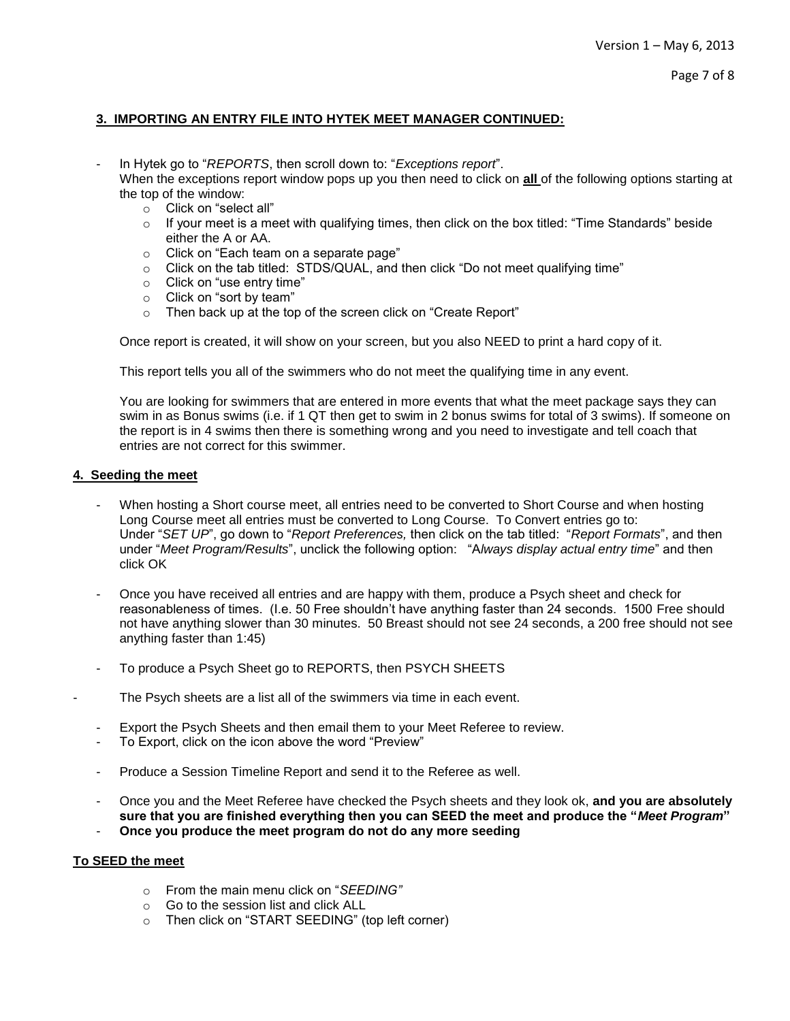# **3. IMPORTING AN ENTRY FILE INTO HYTEK MEET MANAGER CONTINUED:**

- In Hytek go to "*REPORTS*, then scroll down to: "*Exceptions report*".
- When the exceptions report window pops up you then need to click on **all** of the following options starting at the top of the window:
	- o Click on "select all"
	- o If your meet is a meet with qualifying times, then click on the box titled: "Time Standards" beside either the A or AA.
	- o Click on "Each team on a separate page"
	- $\circ$  Click on the tab titled: STDS/QUAL, and then click "Do not meet qualifying time"
	- o Click on "use entry time"
	- o Click on "sort by team"
	- o Then back up at the top of the screen click on "Create Report"

Once report is created, it will show on your screen, but you also NEED to print a hard copy of it.

This report tells you all of the swimmers who do not meet the qualifying time in any event.

You are looking for swimmers that are entered in more events that what the meet package says they can swim in as Bonus swims (i.e. if 1 QT then get to swim in 2 bonus swims for total of 3 swims). If someone on the report is in 4 swims then there is something wrong and you need to investigate and tell coach that entries are not correct for this swimmer.

# **4. Seeding the meet**

- When hosting a Short course meet, all entries need to be converted to Short Course and when hosting Long Course meet all entries must be converted to Long Course. To Convert entries go to: Under "*SET UP*", go down to "*Report Preferences,* then click on the tab titled: "*Report Formats*", and then under "*Meet Program/Results*", unclick the following option: "A*lways display actual entry time*" and then click OK
- Once you have received all entries and are happy with them, produce a Psych sheet and check for reasonableness of times. (I.e. 50 Free shouldn't have anything faster than 24 seconds. 1500 Free should not have anything slower than 30 minutes. 50 Breast should not see 24 seconds, a 200 free should not see anything faster than 1:45)
- To produce a Psych Sheet go to REPORTS, then PSYCH SHEETS
- The Psych sheets are a list all of the swimmers via time in each event.
	- Export the Psych Sheets and then email them to your Meet Referee to review.
	- To Export, click on the icon above the word "Preview"
	- Produce a Session Timeline Report and send it to the Referee as well.
	- Once you and the Meet Referee have checked the Psych sheets and they look ok, **and you are absolutely sure that you are finished everything then you can SEED the meet and produce the "***Meet Program***"**  - **Once you produce the meet program do not do any more seeding**

# **To SEED the meet**

- o From the main menu click on "*SEEDING"*
- o Go to the session list and click ALL
- o Then click on "START SEEDING" (top left corner)